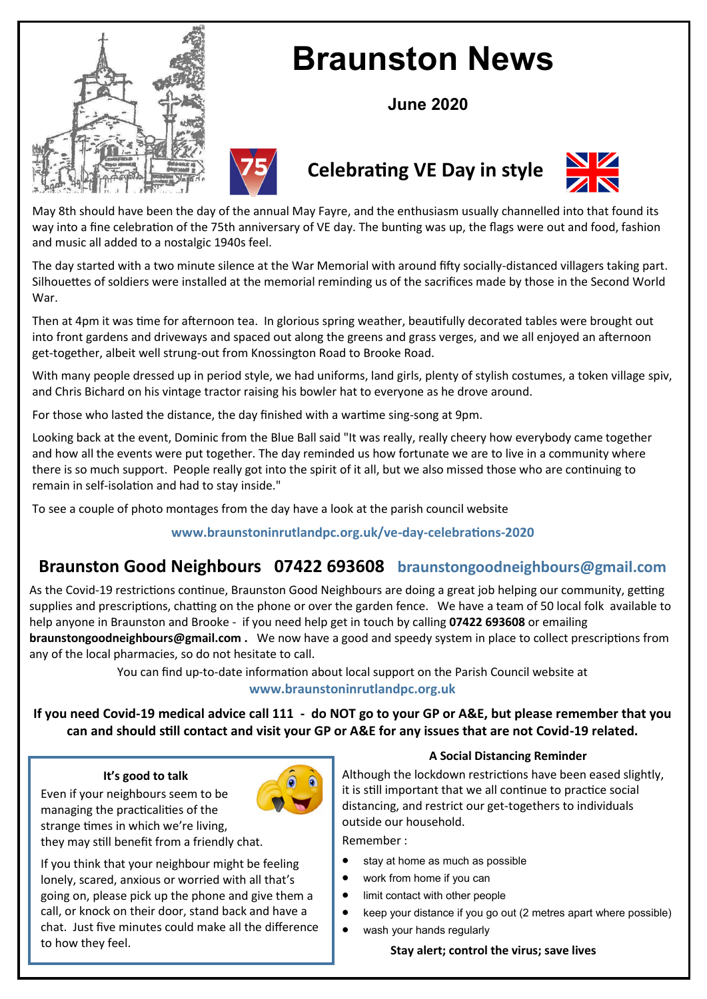

# **Braunston News**

**June 2020**



# **Celebrating VE Day in style**



May 8th should have been the day of the annual May Fayre, and the enthusiasm usually channelled into that found its way into a fine celebration of the 75th anniversary of VE day. The bunting was up, the flags were out and food, fashion and music all added to a nostalgic 1940s feel.

The day started with a two minute silence at the War Memorial with around fifty socially-distanced villagers taking part. Silhouettes of soldiers were installed at the memorial reminding us of the sacrifices made by those in the Second World War.

Then at 4pm it was time for afternoon tea. In glorious spring weather, beautifully decorated tables were brought out into front gardens and driveways and spaced out along the greens and grass verges, and we all enjoyed an afternoon get-together, albeit well strung-out from Knossington Road to Brooke Road.

With many people dressed up in period style, we had uniforms, land girls, plenty of stylish costumes, a token village spiv, and Chris Bichard on his vintage tractor raising his bowler hat to everyone as he drove around.

For those who lasted the distance, the day finished with a wartime sing-song at 9pm.

Looking back at the event, Dominic from the Blue Ball said "It was really, really cheery how everybody came together and how all the events were put together. The day reminded us how fortunate we are to live in a community where there is so much support. People really got into the spirit of it all, but we also missed those who are continuing to remain in self-isolation and had to stay inside."

To see a couple of photo montages from the day have a look at the parish council website

# **www.braunstoninrutlandpc.org.uk/ve-day-celebrations-2020**

# **Braunston Good Neighbours 07422 693608 braunstongoodneighbours@gmail.com**

As the Covid-19 restrictions continue, Braunston Good Neighbours are doing a great job helping our community, getting supplies and prescriptions, chatting on the phone or over the garden fence. We have a team of 50 local folk available to help anyone in Braunston and Brooke - if you need help get in touch by calling **07422 693608** or emailing

**braunstongoodneighbours@gmail.com .** We now have a good and speedy system in place to collect prescriptions from any of the local pharmacies, so do not hesitate to call.

> You can find up-to-date information about local support on the Parish Council website at **www.braunstoninrutlandpc.org.uk**

**If you need Covid-19 medical advice call 111 - do NOT go to your GP or A&E, but please remember that you can and should still contact and visit your GP or A&E for any issues that are not Covid-19 related.**

#### **It's good to talk**

Even if your neighbours seem to be managing the practicalities of the strange times in which we're living, they may still benefit from a friendly chat.



If you think that your neighbour might be feeling lonely, scared, anxious or worried with all that's going on, please pick up the phone and give them a call, or knock on their door, stand back and have a chat. Just five minutes could make all the difference to how they feel.

#### **A Social Distancing Reminder**

Although the lockdown restrictions have been eased slightly, it is still important that we all continue to practice social distancing, and restrict our get-togethers to individuals outside our household.

Remember :

- stay at home as much as possible
- work from home if you can
- limit contact with other people
- keep your distance if you go out (2 metres apart where possible)
- wash your hands regularly

#### **Stay alert; control the virus; save lives**